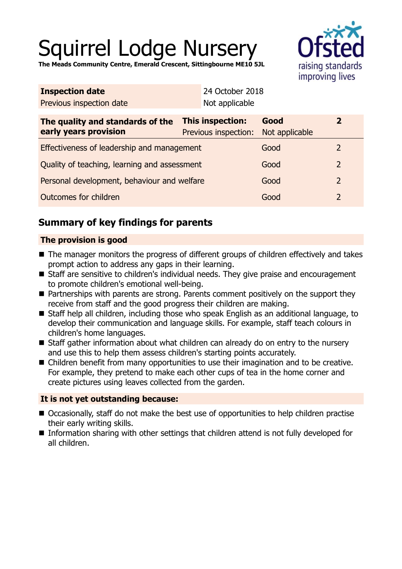# Squirrel Lodge Nursery

**The Meads Community Centre, Emerald Crescent, Sittingbourne ME10 5JL**



| Not applicable                               |                        |                                                 |  |
|----------------------------------------------|------------------------|-------------------------------------------------|--|
| This inspection:<br>Previous inspection:     | Good<br>Not applicable | $\overline{2}$                                  |  |
| Effectiveness of leadership and management   |                        | 2                                               |  |
| Quality of teaching, learning and assessment |                        | $\overline{2}$                                  |  |
| Personal development, behaviour and welfare  |                        | $\overline{2}$                                  |  |
| Outcomes for children                        |                        | $\overline{2}$                                  |  |
|                                              |                        | 24 October 2018<br>Good<br>Good<br>Good<br>Good |  |

# **Summary of key findings for parents**

# **The provision is good**

- The manager monitors the progress of different groups of children effectively and takes prompt action to address any gaps in their learning.
- Staff are sensitive to children's individual needs. They give praise and encouragement to promote children's emotional well-being.
- $\blacksquare$  Partnerships with parents are strong. Parents comment positively on the support they receive from staff and the good progress their children are making.
- Staff help all children, including those who speak English as an additional language, to develop their communication and language skills. For example, staff teach colours in children's home languages.
- Staff gather information about what children can already do on entry to the nursery and use this to help them assess children's starting points accurately.
- Children benefit from many opportunities to use their imagination and to be creative. For example, they pretend to make each other cups of tea in the home corner and create pictures using leaves collected from the garden.

## **It is not yet outstanding because:**

- Occasionally, staff do not make the best use of opportunities to help children practise their early writing skills.
- Information sharing with other settings that children attend is not fully developed for all children.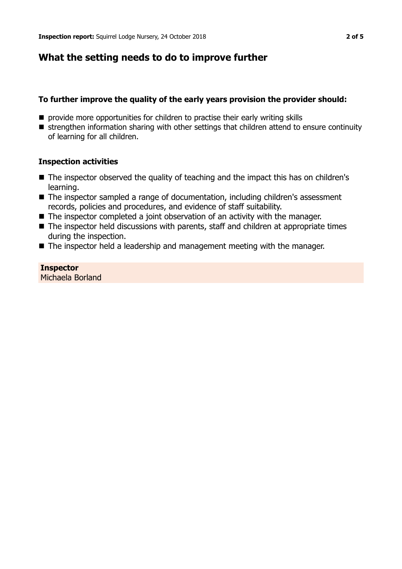# **What the setting needs to do to improve further**

## **To further improve the quality of the early years provision the provider should:**

- $\blacksquare$  provide more opportunities for children to practise their early writing skills
- strengthen information sharing with other settings that children attend to ensure continuity of learning for all children.

## **Inspection activities**

- The inspector observed the quality of teaching and the impact this has on children's learning.
- The inspector sampled a range of documentation, including children's assessment records, policies and procedures, and evidence of staff suitability.
- $\blacksquare$  The inspector completed a joint observation of an activity with the manager.
- $\blacksquare$  The inspector held discussions with parents, staff and children at appropriate times during the inspection.
- $\blacksquare$  The inspector held a leadership and management meeting with the manager.

# **Inspector**

Michaela Borland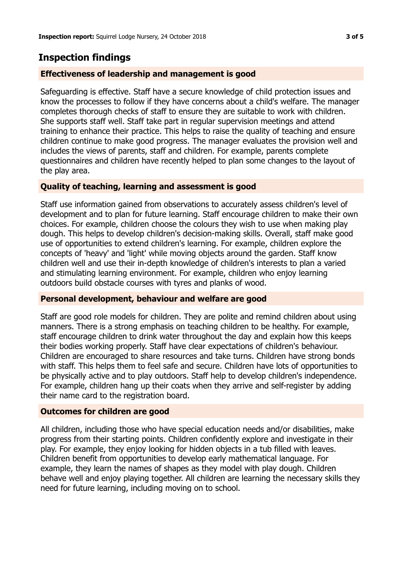# **Inspection findings**

#### **Effectiveness of leadership and management is good**

Safeguarding is effective. Staff have a secure knowledge of child protection issues and know the processes to follow if they have concerns about a child's welfare. The manager completes thorough checks of staff to ensure they are suitable to work with children. She supports staff well. Staff take part in regular supervision meetings and attend training to enhance their practice. This helps to raise the quality of teaching and ensure children continue to make good progress. The manager evaluates the provision well and includes the views of parents, staff and children. For example, parents complete questionnaires and children have recently helped to plan some changes to the layout of the play area.

## **Quality of teaching, learning and assessment is good**

Staff use information gained from observations to accurately assess children's level of development and to plan for future learning. Staff encourage children to make their own choices. For example, children choose the colours they wish to use when making play dough. This helps to develop children's decision-making skills. Overall, staff make good use of opportunities to extend children's learning. For example, children explore the concepts of 'heavy' and 'light' while moving objects around the garden. Staff know children well and use their in-depth knowledge of children's interests to plan a varied and stimulating learning environment. For example, children who enjoy learning outdoors build obstacle courses with tyres and planks of wood.

#### **Personal development, behaviour and welfare are good**

Staff are good role models for children. They are polite and remind children about using manners. There is a strong emphasis on teaching children to be healthy. For example, staff encourage children to drink water throughout the day and explain how this keeps their bodies working properly. Staff have clear expectations of children's behaviour. Children are encouraged to share resources and take turns. Children have strong bonds with staff. This helps them to feel safe and secure. Children have lots of opportunities to be physically active and to play outdoors. Staff help to develop children's independence. For example, children hang up their coats when they arrive and self-register by adding their name card to the registration board.

#### **Outcomes for children are good**

All children, including those who have special education needs and/or disabilities, make progress from their starting points. Children confidently explore and investigate in their play. For example, they enjoy looking for hidden objects in a tub filled with leaves. Children benefit from opportunities to develop early mathematical language. For example, they learn the names of shapes as they model with play dough. Children behave well and enjoy playing together. All children are learning the necessary skills they need for future learning, including moving on to school.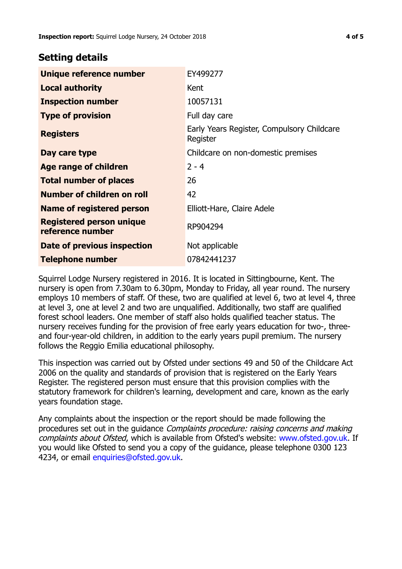# **Setting details**

| Unique reference number                             | EY499277                                               |
|-----------------------------------------------------|--------------------------------------------------------|
| <b>Local authority</b>                              | Kent                                                   |
| <b>Inspection number</b>                            | 10057131                                               |
| <b>Type of provision</b>                            | Full day care                                          |
| <b>Registers</b>                                    | Early Years Register, Compulsory Childcare<br>Register |
| Day care type                                       | Childcare on non-domestic premises                     |
| Age range of children                               | $2 - 4$                                                |
| <b>Total number of places</b>                       | 26                                                     |
| Number of children on roll                          | 42                                                     |
| Name of registered person                           | Elliott-Hare, Claire Adele                             |
| <b>Registered person unique</b><br>reference number | RP904294                                               |
| Date of previous inspection                         | Not applicable                                         |
| <b>Telephone number</b>                             | 07842441237                                            |

Squirrel Lodge Nursery registered in 2016. It is located in Sittingbourne, Kent. The nursery is open from 7.30am to 6.30pm, Monday to Friday, all year round. The nursery employs 10 members of staff. Of these, two are qualified at level 6, two at level 4, three at level 3, one at level 2 and two are unqualified. Additionally, two staff are qualified forest school leaders. One member of staff also holds qualified teacher status. The nursery receives funding for the provision of free early years education for two-, threeand four-year-old children, in addition to the early years pupil premium. The nursery follows the Reggio Emilia educational philosophy.

This inspection was carried out by Ofsted under sections 49 and 50 of the Childcare Act 2006 on the quality and standards of provision that is registered on the Early Years Register. The registered person must ensure that this provision complies with the statutory framework for children's learning, development and care, known as the early years foundation stage.

Any complaints about the inspection or the report should be made following the procedures set out in the guidance Complaints procedure: raising concerns and making complaints about Ofsted, which is available from Ofsted's website: www.ofsted.gov.uk. If you would like Ofsted to send you a copy of the guidance, please telephone 0300 123 4234, or email [enquiries@ofsted.gov.uk.](mailto:enquiries@ofsted.gov.uk)